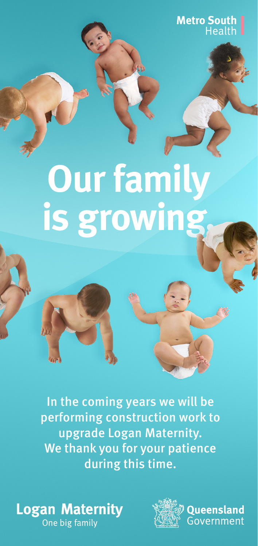**Metro South Health** 

# **Our family is growing.**

In the coming years we will be performing construction work to upgrade Logan Maternity. We thank you for your patience during this time.

#### **Logan Maternity** One big family



**Oueensland** Government